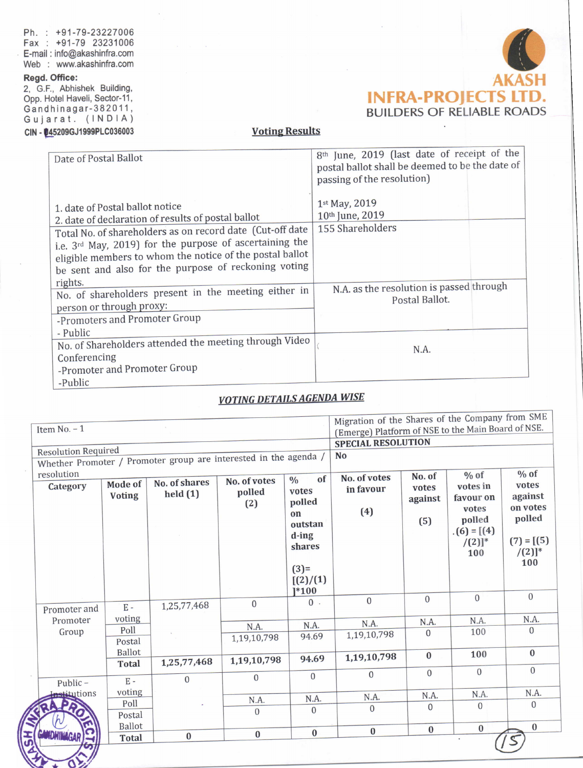Ph. : +91-79-23227006 Fax : +91-79 <sup>23231006</sup> E-mail : info@akashinfra.com Web : www.akashinfra.com

### Regd. Office:

2, G.F., Abhishek Building, Opp. Hotel Haveli, Sector-11, Gandhinagar-382011, Gujarat. (lNDlA) CIN - 045209GJ1999PLC036003



## Voting Results

| Date of Postal Ballot                                                                 | 8 <sup>th</sup> June, 2019 (last date of receipt of the<br>postal ballot shall be deemed to be the date of |
|---------------------------------------------------------------------------------------|------------------------------------------------------------------------------------------------------------|
|                                                                                       | passing of the resolution)<br>1st May, 2019                                                                |
| 1. date of Postal ballot notice<br>2. date of declaration of results of postal ballot | 10th June, 2019                                                                                            |
| Total No. of shareholders as on record date (Cut-off date                             | 155 Shareholders                                                                                           |
| i.e. 3rd May, 2019) for the purpose of ascertaining the                               |                                                                                                            |
| eligible members to whom the notice of the postal ballot                              |                                                                                                            |
| be sent and also for the purpose of reckoning voting                                  |                                                                                                            |
| rights.<br>No. of shareholders present in the meeting either in                       | N.A. as the resolution is passed through                                                                   |
| person or through proxy:                                                              | Postal Ballot.                                                                                             |
| -Promoters and Promoter Group                                                         |                                                                                                            |
| - Public                                                                              |                                                                                                            |
| No. of Shareholders attended the meeting through Video                                | N.A.                                                                                                       |
| Conferencing                                                                          |                                                                                                            |
| -Promoter and Promoter Group                                                          |                                                                                                            |
| -Public                                                                               |                                                                                                            |

# VOTING DETAILS AGENDA WISE

| Item $No. - 1$                                                   |                          |                                   |                               | Migration of the Shares of the Company from SME<br>(Emerge) Platform of NSE to the Main Board of NSE.<br><b>SPECIAL RESOLUTION</b> |                                  |                                   |                                                                                         |                                                                                |
|------------------------------------------------------------------|--------------------------|-----------------------------------|-------------------------------|------------------------------------------------------------------------------------------------------------------------------------|----------------------------------|-----------------------------------|-----------------------------------------------------------------------------------------|--------------------------------------------------------------------------------|
|                                                                  |                          |                                   |                               |                                                                                                                                    |                                  |                                   |                                                                                         |                                                                                |
| <b>Resolution Required</b>                                       |                          |                                   |                               |                                                                                                                                    | <b>No</b>                        |                                   |                                                                                         |                                                                                |
| Whether Promoter / Promoter group are interested in the agenda / |                          |                                   |                               |                                                                                                                                    |                                  |                                   |                                                                                         |                                                                                |
| resolution<br>Category                                           | Mode of<br><b>Voting</b> | No. of shares<br>$\text{held}(1)$ | No. of votes<br>polled<br>(2) | of<br>$\frac{0}{0}$<br>votes<br>polled<br>on<br>outstan<br>$d$ -ing<br>shares                                                      | No. of votes<br>in favour<br>(4) | No. of<br>votes<br>against<br>(5) | $%$ of<br>votes in<br>favour on<br>votes<br>polled<br>$(6) = [(4)]$<br>$/(2)]^*$<br>100 | $%$ of<br>votes<br>against<br>on votes<br>polled<br>$(7) = [(5)]$<br>$/(2)]^*$ |
| Promoter and                                                     | $E -$                    | 1,25,77,468                       | $\mathbf{0}$                  | $(3)=$<br>[(2)/(1)]<br>$]^{*100}$<br>$0$ .                                                                                         | $\overline{0}$                   | $\overline{0}$                    | $\overline{0}$                                                                          | 100<br>$\Omega$                                                                |
| Promoter                                                         | voting                   |                                   |                               |                                                                                                                                    | N.A.                             | N.A.                              | N.A.                                                                                    | N.A.                                                                           |
| Group                                                            | Poll<br>Postal           |                                   | N.A.<br>1,19,10,798           | N.A.<br>94.69                                                                                                                      | 1,19,10,798                      | $\Omega$                          | 100                                                                                     | $\overline{0}$                                                                 |
|                                                                  | Ballot<br><b>Total</b>   | 1,25,77,468                       | 1,19,10,798                   | 94.69                                                                                                                              | 1,19,10,798                      | $\bf{0}$                          | 100                                                                                     | $\bf{0}$                                                                       |
| Public-                                                          | $E -$                    | $\Omega$                          | $\overline{0}$                | $\mathbf{0}$                                                                                                                       | $\Omega$                         | $\Omega$                          | $\overline{0}$                                                                          | $\overline{0}$                                                                 |
| stitutions                                                       | voting                   |                                   | N.A.                          | N.A.                                                                                                                               | N.A.                             | N.A.                              | N.A.                                                                                    | N.A.                                                                           |
|                                                                  | Poll<br>Postal           |                                   | $\overline{0}$                | $\Omega$                                                                                                                           | $\Omega$                         | $\overline{0}$                    | $\overline{0}$                                                                          | $\overline{0}$                                                                 |
|                                                                  | <b>Ballot</b>            |                                   | $\bf{0}$                      | $\bf{0}$                                                                                                                           | $\bf{0}$                         | $\bf{0}$                          | $\bf{0}$                                                                                | $\bf{0}$                                                                       |
| ត់                                                               | <b>Total</b>             | $\bf{0}$                          |                               |                                                                                                                                    |                                  |                                   |                                                                                         |                                                                                |